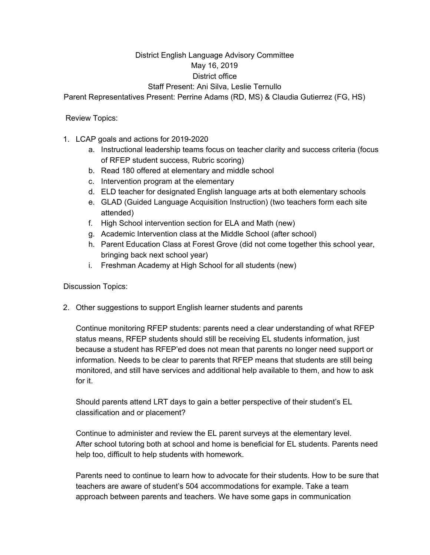## District English Language Advisory Committee May 16, 2019 District office

## Staff Present: Ani Silva, Leslie Ternullo

Parent Representatives Present: Perrine Adams (RD, MS) & Claudia Gutierrez (FG, HS)

Review Topics:

- 1. LCAP goals and actions for 2019-2020
	- a. Instructional leadership teams focus on teacher clarity and success criteria (focus of RFEP student success, Rubric scoring)
	- b. Read 180 offered at elementary and middle school
	- c. Intervention program at the elementary
	- d. ELD teacher for designated English language arts at both elementary schools
	- e. GLAD (Guided Language Acquisition Instruction) (two teachers form each site attended)
	- f. High School intervention section for ELA and Math (new)
	- g. Academic Intervention class at the Middle School (after school)
	- h. Parent Education Class at Forest Grove (did not come together this school year, bringing back next school year)
	- i. Freshman Academy at High School for all students (new)

Discussion Topics:

2. Other suggestions to support English learner students and parents

Continue monitoring RFEP students: parents need a clear understanding of what RFEP status means, RFEP students should still be receiving EL students information, just because a student has RFEP'ed does not mean that parents no longer need support or information. Needs to be clear to parents that RFEP means that students are still being monitored, and still have services and additional help available to them, and how to ask for it.

Should parents attend LRT days to gain a better perspective of their student's EL classification and or placement?

Continue to administer and review the EL parent surveys at the elementary level. After school tutoring both at school and home is beneficial for EL students. Parents need help too, difficult to help students with homework.

Parents need to continue to learn how to advocate for their students. How to be sure that teachers are aware of student's 504 accommodations for example. Take a team approach between parents and teachers. We have some gaps in communication